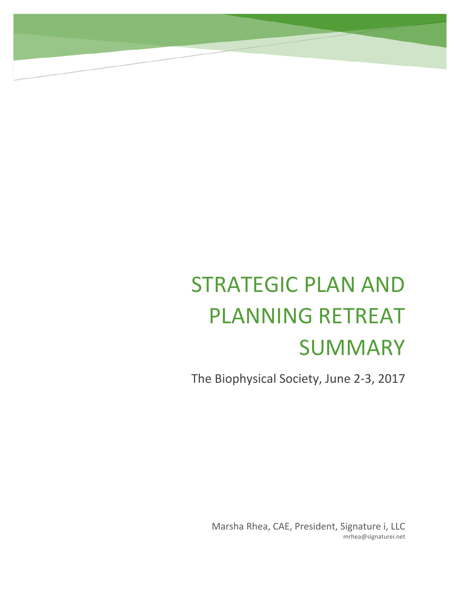# STRATEGIC PLAN AND PLANNING RETREAT SUMMARY

The Biophysical Society, June 2‐3, 2017

Marsha Rhea, CAE, President, Signature i, LLC mrhea@signaturei.net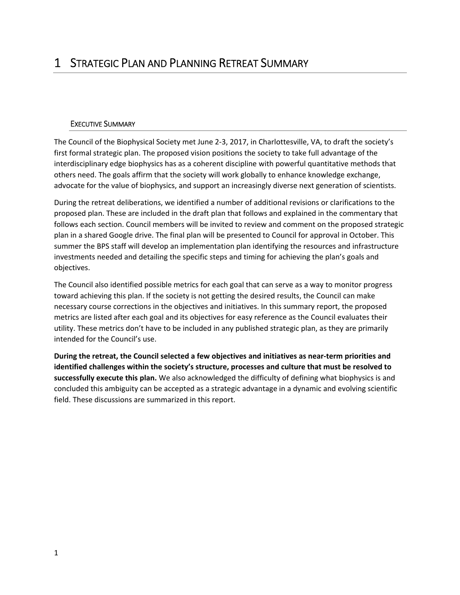#### EXECUTIVE SUMMARY

The Council of the Biophysical Society met June 2‐3, 2017, in Charlottesville, VA, to draft the society's first formal strategic plan. The proposed vision positions the society to take full advantage of the interdisciplinary edge biophysics has as a coherent discipline with powerful quantitative methods that others need. The goals affirm that the society will work globally to enhance knowledge exchange, advocate for the value of biophysics, and support an increasingly diverse next generation of scientists.

During the retreat deliberations, we identified a number of additional revisions or clarifications to the proposed plan. These are included in the draft plan that follows and explained in the commentary that follows each section. Council members will be invited to review and comment on the proposed strategic plan in a shared Google drive. The final plan will be presented to Council for approval in October. This summer the BPS staff will develop an implementation plan identifying the resources and infrastructure investments needed and detailing the specific steps and timing for achieving the plan's goals and objectives.

The Council also identified possible metrics for each goal that can serve as a way to monitor progress toward achieving this plan. If the society is not getting the desired results, the Council can make necessary course corrections in the objectives and initiatives. In this summary report, the proposed metrics are listed after each goal and its objectives for easy reference as the Council evaluates their utility. These metrics don't have to be included in any published strategic plan, as they are primarily intended for the Council's use.

**During the retreat, the Council selected a few objectives and initiatives as near‐term priorities and identified challenges within the society's structure, processes and culture that must be resolved to successfully execute this plan.** We also acknowledged the difficulty of defining what biophysics is and concluded this ambiguity can be accepted as a strategic advantage in a dynamic and evolving scientific field. These discussions are summarized in this report.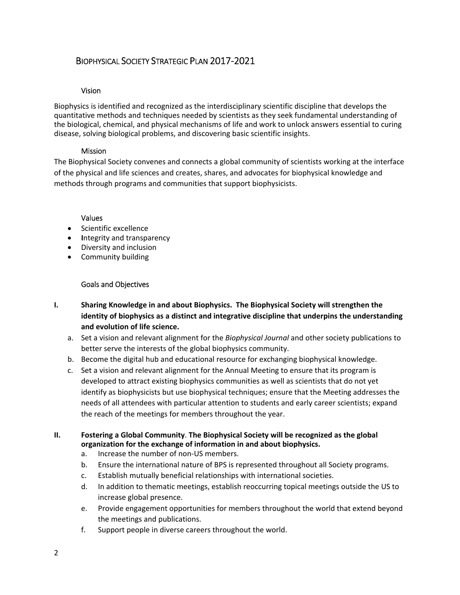# BIOPHYSICAL SOCIETY STRATEGIC PLAN 2017‐2021

#### Vision

Biophysics is identified and recognized as the interdisciplinary scientific discipline that develops the quantitative methods and techniques needed by scientists as they seek fundamental understanding of the biological, chemical, and physical mechanisms of life and work to unlock answers essential to curing disease, solving biological problems, and discovering basic scientific insights.

#### **Mission**

The Biophysical Society convenes and connects a global community of scientists working at the interface of the physical and life sciences and creates, shares, and advocates for biophysical knowledge and methods through programs and communities that support biophysicists.

#### Values

- Scientific excellence
- **•** Integrity and transparency
- Diversity and inclusion
- Community building

#### Goals and Objectives

- **I. Sharing Knowledge in and about Biophysics. The Biophysical Society will strengthen the identity of biophysics as a distinct and integrative discipline that underpins the understanding and evolution of life science.**
	- a. Set a vision and relevant alignment for the *Biophysical Journal* and other society publications to better serve the interests of the global biophysics community.
	- b. Become the digital hub and educational resource for exchanging biophysical knowledge.
	- c. Set a vision and relevant alignment for the Annual Meeting to ensure that its program is developed to attract existing biophysics communities as well as scientists that do not yet identify as biophysicists but use biophysical techniques; ensure that the Meeting addresses the needs of all attendees with particular attention to students and early career scientists; expand the reach of the meetings for members throughout the year.

#### **II. Fostering a Global Community**. **The Biophysical Society will be recognized as the global organization for the exchange of information in and about biophysics.**

- a. Increase the number of non‐US members.
- b. Ensure the international nature of BPS is represented throughout all Society programs.
- c. Establish mutually beneficial relationships with international societies.
- d. In addition to thematic meetings, establish reoccurring topical meetings outside the US to increase global presence.
- e. Provide engagement opportunities for members throughout the world that extend beyond the meetings and publications.
- f. Support people in diverse careers throughout the world.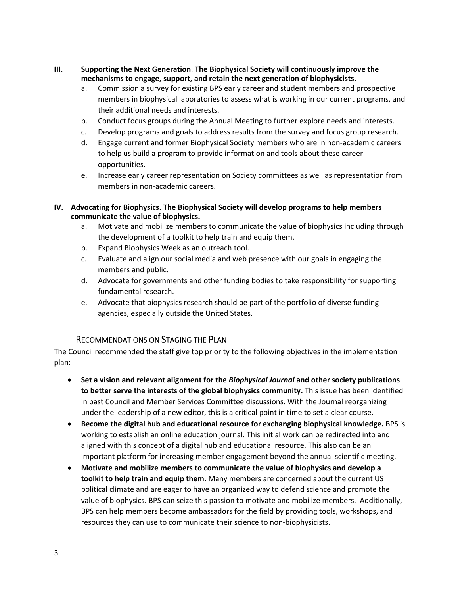- **III. Supporting the Next Generation**. **The Biophysical Society will continuously improve the mechanisms to engage, support, and retain the next generation of biophysicists.**
	- a. Commission a survey for existing BPS early career and student members and prospective members in biophysical laboratories to assess what is working in our current programs, and their additional needs and interests.
	- b. Conduct focus groups during the Annual Meeting to further explore needs and interests.
	- c. Develop programs and goals to address results from the survey and focus group research.
	- d. Engage current and former Biophysical Society members who are in non‐academic careers to help us build a program to provide information and tools about these career opportunities.
	- e. Increase early career representation on Society committees as well as representation from members in non‐academic careers.

#### **IV. Advocating for Biophysics. The Biophysical Society will develop programs to help members communicate the value of biophysics.**

- a. Motivate and mobilize members to communicate the value of biophysics including through the development of a toolkit to help train and equip them.
- b. Expand Biophysics Week as an outreach tool.
- c. Evaluate and align our social media and web presence with our goals in engaging the members and public.
- d. Advocate for governments and other funding bodies to take responsibility for supporting fundamental research.
- e. Advocate that biophysics research should be part of the portfolio of diverse funding agencies, especially outside the United States.

## RECOMMENDATIONS ON STAGING THE PLAN

The Council recommended the staff give top priority to the following objectives in the implementation plan:

- **Set a vision and relevant alignment for the** *Biophysical Journal* **and other society publications to better serve the interests of the global biophysics community.** This issue has been identified in past Council and Member Services Committee discussions. With the Journal reorganizing under the leadership of a new editor, this is a critical point in time to set a clear course.
- **Become the digital hub and educational resource for exchanging biophysical knowledge.** BPS is working to establish an online education journal. This initial work can be redirected into and aligned with this concept of a digital hub and educational resource. This also can be an important platform for increasing member engagement beyond the annual scientific meeting.
- **Motivate and mobilize members to communicate the value of biophysics and develop a toolkit to help train and equip them.** Many members are concerned about the current US political climate and are eager to have an organized way to defend science and promote the value of biophysics. BPS can seize this passion to motivate and mobilize members. Additionally, BPS can help members become ambassadors for the field by providing tools, workshops, and resources they can use to communicate their science to non‐biophysicists.